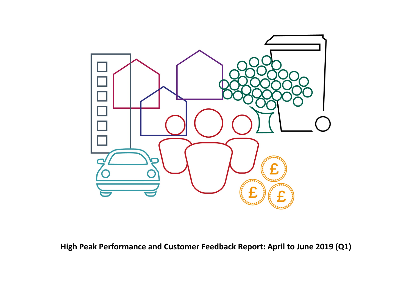

**High Peak Performance and Customer Feedback Report: April to June 2019 (Q1)**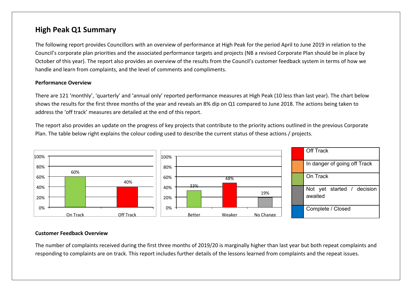## **High Peak Q1 Summary**

The following report provides Councillors with an overview of performance at High Peak for the period April to June 2019 in relation to the Council's corporate plan priorities and the associated performance targets and projects (NB a revised Corporate Plan should be in place by October of this year). The report also provides an overview of the results from the Council's customer feedback system in terms of how we handle and learn from complaints, and the level of comments and compliments.

#### **Performance Overview**

There are 121 'monthly', 'quarterly' and 'annual only' reported performance measures at High Peak (10 less than last year). The chart below shows the results for the first three months of the year and reveals an 8% dip on Q1 compared to June 2018. The actions being taken to address the 'off track' measures are detailed at the end of this report.

The report also provides an update on the progress of key projects that contribute to the priority actions outlined in the previous Corporate Plan. The table below right explains the colour coding used to describe the current status of these actions / projects.



#### **Customer Feedback Overview**

The number of complaints received during the first three months of 2019/20 is marginally higher than last year but both repeat complaints and responding to complaints are on track. This report includes further details of the lessons learned from complaints and the repeat issues.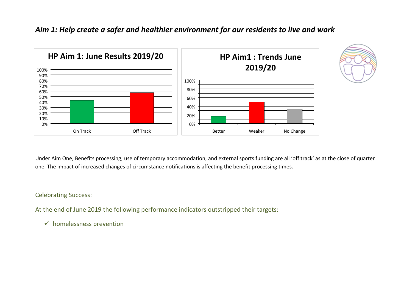### *Aim 1: Help create a safer and healthier environment for our residents to live and work*





Celebrating Success:

At the end of June 2019 the following performance indicators outstripped their targets:

 $\checkmark$  homelessness prevention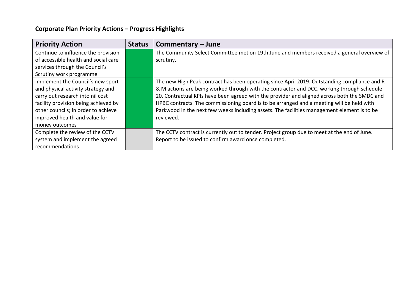# **Corporate Plan Priority Actions – Progress Highlights**

| <b>Priority Action</b>               | <b>Status</b> | Commentary - June                                                                            |
|--------------------------------------|---------------|----------------------------------------------------------------------------------------------|
| Continue to influence the provision  |               | The Community Select Committee met on 19th June and members received a general overview of   |
| of accessible health and social care |               | scrutiny.                                                                                    |
| services through the Council's       |               |                                                                                              |
| Scrutiny work programme              |               |                                                                                              |
| Implement the Council's new sport    |               | The new High Peak contract has been operating since April 2019. Outstanding compliance and R |
| and physical activity strategy and   |               | & M actions are being worked through with the contractor and DCC, working through schedule   |
| carry out research into nil cost     |               | 20. Contractual KPIs have been agreed with the provider and aligned across both the SMDC and |
| facility provision being achieved by |               | HPBC contracts. The commissioning board is to be arranged and a meeting will be held with    |
| other councils; in order to achieve  |               | Parkwood in the next few weeks including assets. The facilities management element is to be  |
| improved health and value for        |               | reviewed.                                                                                    |
| money outcomes                       |               |                                                                                              |
| Complete the review of the CCTV      |               | The CCTV contract is currently out to tender. Project group due to meet at the end of June.  |
| system and implement the agreed      |               | Report to be issued to confirm award once completed.                                         |
| recommendations                      |               |                                                                                              |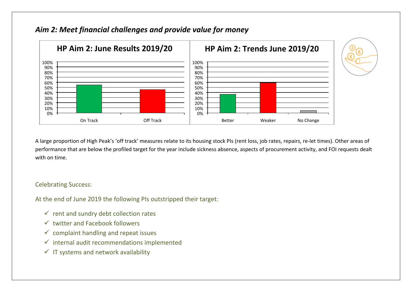

## *Aim 2: Meet financial challenges and provide value for money*

A large proportion of High Peak's 'off track' measures relate to its housing stock PIs (rent loss, job rates, repairs, re-let times). Other areas of performance that are below the profiled target for the year include sickness absence, aspects of procurement activity, and FOI requests dealt with on time.

### Celebrating Success:

At the end of June 2019 the following PIs outstripped their target:

- $\checkmark$  rent and sundry debt collection rates
- $\checkmark$  twitter and Facebook followers
- $\checkmark$  complaint handling and repeat issues
- $\checkmark$  internal audit recommendations implemented
- $\checkmark$  IT systems and network availability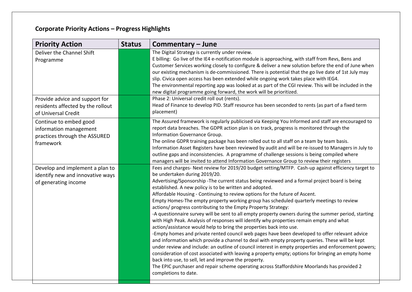# **Corporate Priority Actions – Progress Highlights**

| <b>Priority Action</b>                                                                         | <b>Status</b> | Commentary - June                                                                                                                                                                                                                                                                                                                                                                                                                                                                                                                                                                                                                                                                                                                                                                                                                                                                                                                                                                                                                                                                                                                                                                                                                                                                                                                                                                                                            |
|------------------------------------------------------------------------------------------------|---------------|------------------------------------------------------------------------------------------------------------------------------------------------------------------------------------------------------------------------------------------------------------------------------------------------------------------------------------------------------------------------------------------------------------------------------------------------------------------------------------------------------------------------------------------------------------------------------------------------------------------------------------------------------------------------------------------------------------------------------------------------------------------------------------------------------------------------------------------------------------------------------------------------------------------------------------------------------------------------------------------------------------------------------------------------------------------------------------------------------------------------------------------------------------------------------------------------------------------------------------------------------------------------------------------------------------------------------------------------------------------------------------------------------------------------------|
| Deliver the Channel Shift<br>Programme                                                         |               | The Digital Strategy is currently under review.<br>E billing: Go live of the IE4 e-notification module is approaching, with staff from Revs, Bens and<br>Customer Services working closely to configure & deliver a new solution before the end of June when<br>our existing mechanism is de-commissioned. There is potential that the go live date of 1st July may<br>slip. Civica open access has been extended while ongoing work takes place with IEG4.<br>The environmental reporting app was looked at as part of the CGI review. This will be included in the<br>new digital programme going forward, the work will be prioritized.                                                                                                                                                                                                                                                                                                                                                                                                                                                                                                                                                                                                                                                                                                                                                                                   |
| Provide advice and support for<br>residents affected by the rollout<br>of Universal Credit     |               | Phase 2: Universal credit roll out (rents).<br>Head of Finance to develop PID. Staff resource has been seconded to rents (as part of a fixed term<br>placement)                                                                                                                                                                                                                                                                                                                                                                                                                                                                                                                                                                                                                                                                                                                                                                                                                                                                                                                                                                                                                                                                                                                                                                                                                                                              |
| Continue to embed good<br>information management<br>practices through the ASSURED<br>framework |               | The Assured framework is regularly publicised via Keeping You Informed and staff are encouraged to<br>report data breaches. The GDPR action plan is on track, progress is monitored through the<br>Information Governance Group.<br>The online GDPR training package has been rolled out to all staff on a team by team basis.<br>Information Asset Registers have been reviewed by audit and will be re-issued to Managers in July to<br>outline gaps and inconsistencies. A programme of challenge sessions is being compiled where<br>managers will be invited to attend Information Governance Group to review their registers                                                                                                                                                                                                                                                                                                                                                                                                                                                                                                                                                                                                                                                                                                                                                                                           |
| Develop and implement a plan to<br>identify new and innovative ways<br>of generating income    |               | Fees and charges- Next review for 2019/20 budget setting/MTFP. Cash-up against efficiency target to<br>be undertaken during 2019/20.<br>Advertising/Sponsorship -The current status being reviewed and a formal project board is being<br>established. A new policy is to be written and adopted.<br>Affordable Housing - Continuing to review options for the future of Ascent.<br>Empty Homes-The empty property working group has scheduled quarterly meetings to review<br>actions/ progress contributing to the Empty Property Strategy:<br>-A questionnaire survey will be sent to all empty property owners during the summer period, starting<br>with High Peak. Analysis of responses will identify why properties remain empty and what<br>action/assistance would help to bring the properties back into use.<br>-Empty homes and private rented council web pages have been developed to offer relevant advice<br>and information which provide a channel to deal with empty property queries. These will be kept<br>under review and include: an outline of council interest in empty properties and enforcement powers;<br>consideration of cost associated with leaving a property empty; options for bringing an empty home<br>back into use, to sell, let and improve the property.<br>The EPIC purchaser and repair scheme operating across Staffordshire Moorlands has provided 2<br>completions to date. |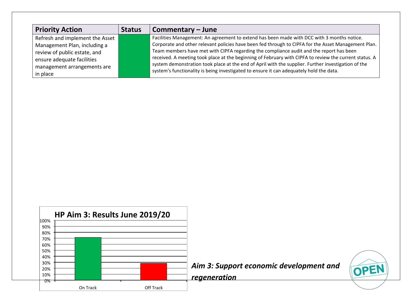| <b>Priority Action</b>          | <b>Status</b> | Commentary – June                                                                                      |
|---------------------------------|---------------|--------------------------------------------------------------------------------------------------------|
| Refresh and implement the Asset |               | Facilities Management: An agreement to extend has been made with DCC with 3 months notice.             |
| Management Plan, including a    |               | Corporate and other relevant policies have been fed through to CIPFA for the Asset Management Plan.    |
| review of public estate, and    |               | Team members have met with CIPFA regarding the compliance audit and the report has been                |
| ensure adequate facilities      |               | received. A meeting took place at the beginning of February with CIPFA to review the current status. A |
| management arrangements are     |               | system demonstration took place at the end of April with the supplier. Further investigation of the    |
| in place                        |               | system's functionality is being investigated to ensure it can adequately hold the data.                |

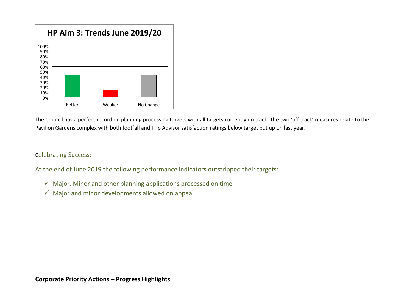

The Council has a perfect record on planning processing targets with all targets currently on track. The two 'off track' measures relate to the Pavilion Gardens complex with both footfall and Trip Advisor satisfaction ratings below target but up on last year.

### Celebrating Success:

At the end of June 2019 the following performance indicators outstripped their targets:

- $\checkmark$  Major, Minor and other planning applications processed on time
- $\checkmark$  Major and minor developments allowed on appeal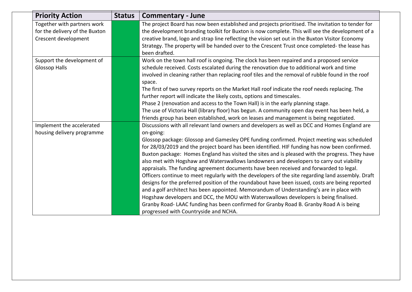| <b>Priority Action</b>                                                                | <b>Status</b> | <b>Commentary - June</b>                                                                                                                                                                                                                                                                                                                                                                                                                                                                                                                                                                                                                                                                                                                                                                                                                                                                                                                                                                                                                                                                                                           |
|---------------------------------------------------------------------------------------|---------------|------------------------------------------------------------------------------------------------------------------------------------------------------------------------------------------------------------------------------------------------------------------------------------------------------------------------------------------------------------------------------------------------------------------------------------------------------------------------------------------------------------------------------------------------------------------------------------------------------------------------------------------------------------------------------------------------------------------------------------------------------------------------------------------------------------------------------------------------------------------------------------------------------------------------------------------------------------------------------------------------------------------------------------------------------------------------------------------------------------------------------------|
| Together with partners work<br>for the delivery of the Buxton<br>Crescent development |               | The project Board has now been established and projects prioritised. The invitation to tender for<br>the development branding toolkit for Buxton is now complete. This will see the development of a<br>creative brand, logo and strap line reflecting the vision set out in the Buxton Visitor Economy<br>Strategy. The property will be handed over to the Crescent Trust once completed- the lease has<br>been drafted.                                                                                                                                                                                                                                                                                                                                                                                                                                                                                                                                                                                                                                                                                                         |
| Support the development of<br><b>Glossop Halls</b>                                    |               | Work on the town hall roof is ongoing. The clock has been repaired and a proposed service<br>schedule received. Costs escalated during the renovation due to additional work and time<br>involved in cleaning rather than replacing roof tiles and the removal of rubble found in the roof<br>space.<br>The first of two survey reports on the Market Hall roof indicate the roof needs replacing. The<br>further report will indicate the likely costs, options and timescales.<br>Phase 2 (renovation and access to the Town Hall) is in the early planning stage.<br>The use of Victoria Hall (library floor) has begun. A community open day event has been held, a<br>friends group has been established, work on leases and management is being negotiated.                                                                                                                                                                                                                                                                                                                                                                  |
| Implement the accelerated<br>housing delivery programme                               |               | Discussions with all relevant land owners and developers as well as DCC and Homes England are<br>on-going:<br>Glossop package: Glossop and Gamesley OPE funding confirmed. Project meeting was scheduled<br>for 28/03/2019 and the project board has been identified. HIF funding has now been confirmed.<br>Buxton package: Homes England has visited the sites and is pleased with the progress. They have<br>also met with Hogshaw and Waterswallows landowners and developers to carry out viability<br>appraisals. The funding agreement documents have been received and forwarded to legal.<br>Officers continue to meet regularly with the developers of the site regarding land assembly. Draft<br>designs for the preferred position of the roundabout have been issued, costs are being reported<br>and a golf architect has been appointed. Memorandum of Understanding's are in place with<br>Hogshaw developers and DCC, the MOU with Waterswallows developers is being finalised.<br>Granby Road-LAAC funding has been confirmed for Granby Road B. Granby Road A is being<br>progressed with Countryside and NCHA. |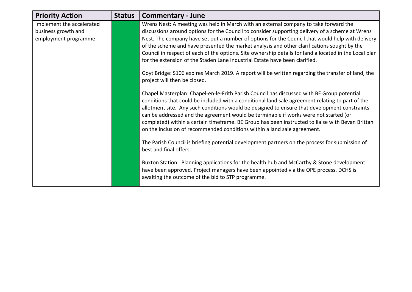| <b>Priority Action</b>                                                   | <b>Status</b> | <b>Commentary - June</b>                                                                                                                                                                                                                                                                                                                                                                                                                                                                                                                                                                                                                                                                                                                                                                                                                                                                                                                                                                                                                                                                                                                                                                                                                                                                                                                                                                                                        |  |
|--------------------------------------------------------------------------|---------------|---------------------------------------------------------------------------------------------------------------------------------------------------------------------------------------------------------------------------------------------------------------------------------------------------------------------------------------------------------------------------------------------------------------------------------------------------------------------------------------------------------------------------------------------------------------------------------------------------------------------------------------------------------------------------------------------------------------------------------------------------------------------------------------------------------------------------------------------------------------------------------------------------------------------------------------------------------------------------------------------------------------------------------------------------------------------------------------------------------------------------------------------------------------------------------------------------------------------------------------------------------------------------------------------------------------------------------------------------------------------------------------------------------------------------------|--|
| Implement the accelerated<br>business growth and<br>employment programme |               | Wrens Nest: A meeting was held in March with an external company to take forward the<br>discussions around options for the Council to consider supporting delivery of a scheme at Wrens<br>Nest. The company have set out a number of options for the Council that would help with delivery<br>of the scheme and have presented the market analysis and other clarifications sought by the<br>Council in respect of each of the options. Site ownership details for land allocated in the Local plan<br>for the extension of the Staden Lane Industrial Estate have been clarified.<br>Goyt Bridge: S106 expires March 2019. A report will be written regarding the transfer of land, the<br>project will then be closed.<br>Chapel Masterplan: Chapel-en-le-Frith Parish Council has discussed with BE Group potential<br>conditions that could be included with a conditional land sale agreement relating to part of the<br>allotment site. Any such conditions would be designed to ensure that development constraints<br>can be addressed and the agreement would be terminable if works were not started (or<br>completed) within a certain timeframe. BE Group has been instructed to liaise with Bevan Brittan<br>on the inclusion of recommended conditions within a land sale agreement.<br>The Parish Council is briefing potential development partners on the process for submission of<br>best and final offers. |  |
|                                                                          |               | Buxton Station: Planning applications for the health hub and McCarthy & Stone development<br>have been approved. Project managers have been appointed via the OPE process. DCHS is<br>awaiting the outcome of the bid to STP programme.                                                                                                                                                                                                                                                                                                                                                                                                                                                                                                                                                                                                                                                                                                                                                                                                                                                                                                                                                                                                                                                                                                                                                                                         |  |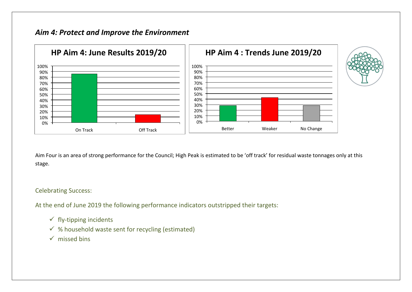## *Aim 4: Protect and Improve the Environment*



Aim Four is an area of strong performance for the Council; High Peak is estimated to be 'off track' for residual waste tonnages only at this stage.

### Celebrating Success:

At the end of June 2019 the following performance indicators outstripped their targets:

- $\checkmark$  fly-tipping incidents
- $\checkmark$  % household waste sent for recycling (estimated)
- $\checkmark$  missed bins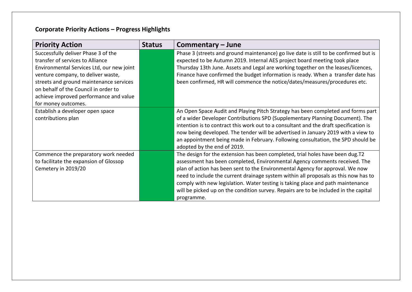# **Corporate Priority Actions – Progress Highlights**

| <b>Priority Action</b>                                                                                                                                                                                                                                                                                         | <b>Status</b> | Commentary - June                                                                                                                                                                                                                                                                                                                                                                                                                                                                                                            |
|----------------------------------------------------------------------------------------------------------------------------------------------------------------------------------------------------------------------------------------------------------------------------------------------------------------|---------------|------------------------------------------------------------------------------------------------------------------------------------------------------------------------------------------------------------------------------------------------------------------------------------------------------------------------------------------------------------------------------------------------------------------------------------------------------------------------------------------------------------------------------|
| Successfully deliver Phase 3 of the<br>transfer of services to Alliance<br>Environmental Services Ltd, our new joint<br>venture company, to deliver waste,<br>streets and ground maintenance services<br>on behalf of the Council in order to<br>achieve improved performance and value<br>for money outcomes. |               | Phase 3 (streets and ground maintenance) go live date is still to be confirmed but is<br>expected to be Autumn 2019. Internal AES project board meeting took place<br>Thursday 13th June. Assets and Legal are working together on the leases/licences,<br>Finance have confirmed the budget information is ready. When a transfer date has<br>been confirmed, HR will commence the notice/dates/measures/procedures etc.                                                                                                    |
| Establish a developer open space<br>contributions plan                                                                                                                                                                                                                                                         |               | An Open Space Audit and Playing Pitch Strategy has been completed and forms part<br>of a wider Developer Contributions SPD (Supplementary Planning Document). The<br>intention is to contract this work out to a consultant and the draft specification is<br>now being developed. The tender will be advertised in January 2019 with a view to<br>an appointment being made in February. Following consultation, the SPD should be<br>adopted by the end of 2019.                                                           |
| Commence the preparatory work needed<br>to facilitate the expansion of Glossop<br>Cemetery in 2019/20                                                                                                                                                                                                          |               | The design for the extension has been completed, trial holes have been dug.T2<br>assessment has been completed, Environmental Agency comments received. The<br>plan of action has been sent to the Environmental Agency for approval. We now<br>need to include the current drainage system within all proposals as this now has to<br>comply with new legislation. Water testing is taking place and path maintenance<br>will be picked up on the condition survey. Repairs are to be included in the capital<br>programme. |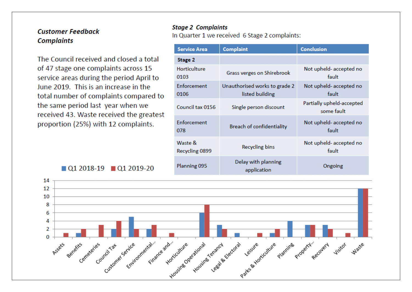### **Customer Feedback Complaints**

The Council received and closed a total of 47 stage one complaints across 15 service areas during the period April to June 2019. This is an increase in the total number of complaints compared to the same period last year when we received 43. Waste received the greatest proportion (25%) with 12 complaints.

 $\blacksquare$  Q1 2018-19  $\blacksquare$  Q1 2019-20

### **Stage 2 Complaints**

In Quarter 1 we received 6 Stage 2 complaints:

| <b>Service Area</b>       | <b>Complaint</b>                                 | <b>Conclusion</b>                       |
|---------------------------|--------------------------------------------------|-----------------------------------------|
| Stage 2                   |                                                  |                                         |
| Horticulture<br>0103      | Grass verges on Shirebrook                       | Not upheld- accepted no<br>fault        |
| Enforcement<br>0106       | Unauthorised works to grade 2<br>listed building | Not upheld- accepted no<br>fault        |
| Council tax 0156          | Single person discount                           | Partially upheld-accepted<br>some fault |
| Enforcement<br>078        | Breach of confidentiality                        | Not upheld-accepted no<br>fault         |
| Waste &<br>Recycling 0899 | <b>Recycling bins</b>                            | Not upheld-accepted no<br>fault         |
| Planning 095              | Delay with planning<br>application               | Ongoing                                 |

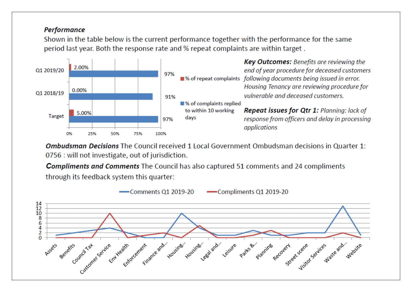### **Performance**

Shown in the table below is the current performance together with the performance for the same period last year. Both the response rate and % repeat complaints are within target.



Ombudsman Decisions The Council received 1 Local Government Ombudsman decisions in Quarter 1: 0756 : will not investigate, out of jurisdiction.

**Compliments and Comments** The Council has also captured 51 comments and 24 compliments through its feedback system this quarter:

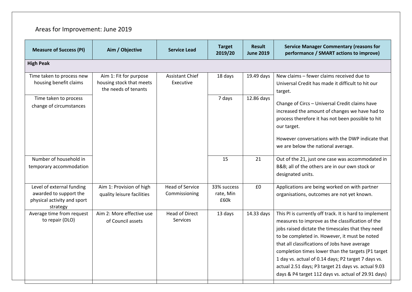## Areas for Improvement: June 2019

| <b>Measure of Success (PI)</b>                                                                 | Aim / Objective                                                            | <b>Service Lead</b>                      | <b>Target</b><br>2019/20         | <b>Result</b><br><b>June 2019</b> | <b>Service Manager Commentary (reasons for</b><br>performance / SMART actions to improve)                                                                                                                                                                                                                                                                                                                                                                                                     |  |  |
|------------------------------------------------------------------------------------------------|----------------------------------------------------------------------------|------------------------------------------|----------------------------------|-----------------------------------|-----------------------------------------------------------------------------------------------------------------------------------------------------------------------------------------------------------------------------------------------------------------------------------------------------------------------------------------------------------------------------------------------------------------------------------------------------------------------------------------------|--|--|
| <b>High Peak</b>                                                                               |                                                                            |                                          |                                  |                                   |                                                                                                                                                                                                                                                                                                                                                                                                                                                                                               |  |  |
| Time taken to process new<br>housing benefit claims                                            | Aim 1: Fit for purpose<br>housing stock that meets<br>the needs of tenants | <b>Assistant Chief</b><br>Executive      | 18 days                          | 19.49 days                        | New claims - fewer claims received due to<br>Universal Credit has made it difficult to hit our<br>target.                                                                                                                                                                                                                                                                                                                                                                                     |  |  |
| Time taken to process<br>change of circumstances                                               |                                                                            |                                          | 7 days                           | 12.86 days                        | Change of Circs - Universal Credit claims have<br>increased the amount of changes we have had to<br>process therefore it has not been possible to hit<br>our target.<br>However conversations with the DWP indicate that<br>we are below the national average.                                                                                                                                                                                                                                |  |  |
| Number of household in<br>temporary accommodation                                              |                                                                            |                                          | 15                               | 21                                | Out of the 21, just one case was accommodated in<br>B&B all of the others are in our own stock or<br>designated units.                                                                                                                                                                                                                                                                                                                                                                        |  |  |
| Level of external funding<br>awarded to support the<br>physical activity and sport<br>strategy | Aim 1: Provision of high<br>quality leisure facilities                     | <b>Head of Service</b><br>Commissioning  | 33% success<br>rate, Min<br>£60k | £0                                | Applications are being worked on with partner<br>organisations, outcomes are not yet known.                                                                                                                                                                                                                                                                                                                                                                                                   |  |  |
| Average time from request<br>to repair (DLO)                                                   | Aim 2: More effective use<br>of Council assets                             | <b>Head of Direct</b><br><b>Services</b> | 13 days                          | 14.33 days                        | This PI is currently off track. It is hard to implement<br>measures to improve as the classification of the<br>jobs raised dictate the timescales that they need<br>to be completed in. However, it must be noted<br>that all classifications of Jobs have average<br>completion times lower than the targets (P1 target<br>1 day vs. actual of 0.14 days; P2 target 7 days vs.<br>actual 2.51 days; P3 target 21 days vs. actual 9.03<br>days & P4 target 112 days vs. actual of 29.91 days) |  |  |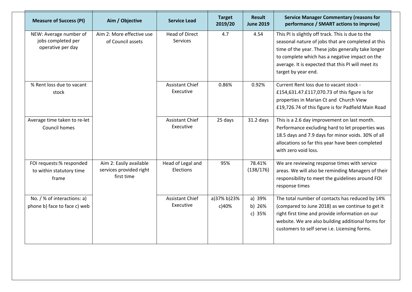| <b>Measure of Success (PI)</b>                                    | Aim / Objective                                                  | <b>Service Lead</b>                      | <b>Target</b><br>2019/20 | <b>Result</b><br><b>June 2019</b> | <b>Service Manager Commentary (reasons for</b><br>performance / SMART actions to improve)                                                                                                                                                                                                    |
|-------------------------------------------------------------------|------------------------------------------------------------------|------------------------------------------|--------------------------|-----------------------------------|----------------------------------------------------------------------------------------------------------------------------------------------------------------------------------------------------------------------------------------------------------------------------------------------|
| NEW: Average number of<br>jobs completed per<br>operative per day | Aim 2: More effective use<br>of Council assets                   | <b>Head of Direct</b><br><b>Services</b> | 4.7                      | 4.54                              | This PI is slightly off track. This is due to the<br>seasonal nature of jobs that are completed at this<br>time of the year. These jobs generally take longer<br>to complete which has a negative impact on the<br>average. It is expected that this PI will meet its<br>target by year end. |
| % Rent loss due to vacant<br>stock                                |                                                                  | <b>Assistant Chief</b><br>Executive      | 0.86%                    | 0.92%                             | Current Rent loss due to vacant stock -<br>£154,631.47.£117,070.73 of this figure is for<br>properties in Marian Ct and Church View<br>£19,726.74 of this figure is for Padfield Main Road                                                                                                   |
| Average time taken to re-let<br><b>Council homes</b>              |                                                                  | <b>Assistant Chief</b><br>Executive      | 25 days                  | 31.2 days                         | This is a 2.6 day improvement on last month.<br>Performance excluding hard to let properties was<br>18.5 days and 7.9 days for minor voids. 30% of all<br>allocations so far this year have been completed<br>with zero void loss.                                                           |
| FOI requests:% responded<br>to within statutory time<br>frame     | Aim 2: Easily available<br>services provided right<br>first time | Head of Legal and<br>Elections           | 95%                      | 78.41%<br>(138/176)               | We are reviewing response times with service<br>areas. We will also be reminding Managers of their<br>responsibility to meet the guidelines around FOI<br>response times                                                                                                                     |
| No. / % of interactions: a)<br>phone b) face to face c) web       |                                                                  | <b>Assistant Chief</b><br>Executive      | a)37% b)23%<br>c)40%     | a) 39%<br>b) 26%<br>c) $35%$      | The total number of contacts has reduced by 14%<br>(compared to June 2018) as we continue to get it<br>right first time and provide information on our<br>website. We are also building additional forms for<br>customers to self serve i.e. Licensing forms.                                |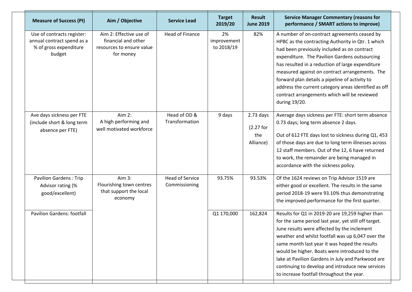| <b>Measure of Success (PI)</b>                                                               | Aim / Objective                                                                          | <b>Service Lead</b>                     | <b>Target</b><br>2019/20        | <b>Result</b><br><b>June 2019</b>            | <b>Service Manager Commentary (reasons for</b><br>performance / SMART actions to improve)                                                                                                                                                                                                                                                                                                                                                                                          |
|----------------------------------------------------------------------------------------------|------------------------------------------------------------------------------------------|-----------------------------------------|---------------------------------|----------------------------------------------|------------------------------------------------------------------------------------------------------------------------------------------------------------------------------------------------------------------------------------------------------------------------------------------------------------------------------------------------------------------------------------------------------------------------------------------------------------------------------------|
| Use of contracts register:<br>annual contract spend as a<br>% of gross expenditure<br>budget | Aim 2: Effective use of<br>financial and other<br>resources to ensure value<br>for money | Head of Finance                         | 2%<br>improvement<br>to 2018/19 | 82%                                          | A number of on-contract agreements ceased by<br>HPBC as the contracting Authority in Qtr. 1 which<br>had been previously included as on contract<br>expenditure. The Pavilion Gardens outsourcing<br>has resulted in a reduction of large expenditure<br>measured against on contract arrangements. The<br>forward plan details a pipeline of activity to<br>address the current category areas identified as off<br>contract arrangements which will be reviewed<br>during 19/20. |
| Ave days sickness per FTE<br>(include short & long term<br>absence per FTE)                  | Aim 2:<br>A high performing and<br>well motivated workforce                              | Head of OD &<br>Transformation          | 9 days                          | $2.73$ days<br>(2.27 for<br>the<br>Alliance) | Average days sickness per FTE: short term absence<br>0.73 days; long term absence 2 days.<br>Out of 612 FTE days lost to sickness during Q1, 453<br>of those days are due to long term illnesses across<br>12 staff members. Out of the 12, 6 have returned<br>to work, the remainder are being managed in<br>accordance with the sickness policy.                                                                                                                                 |
| <b>Pavilion Gardens: Trip</b><br>Advisor rating (%<br>good/excellent)                        | Aim 3:<br>Flourishing town centres<br>that support the local<br>economy                  | <b>Head of Service</b><br>Commissioning | 93.75%                          | 93.53%                                       | Of the 1624 reviews on Trip Advisor 1519 are<br>either good or excellent. The results in the same<br>period 2018-19 were 93.10% thus demonstrating<br>the improved performance for the first quarter.                                                                                                                                                                                                                                                                              |
| <b>Pavilion Gardens: footfall</b>                                                            |                                                                                          |                                         | Q1 170,000                      | 162,824                                      | Results for Q1 in 2019-20 are 19,259 higher than<br>for the same period last year, yet still off target.<br>June results were affected by the inclement<br>weather and whilst footfall was up 6,047 over the<br>same month last year it was hoped the results<br>would be higher. Boats were introduced to the<br>lake at Pavilion Gardens in July and Parkwood are<br>continuing to develop and introduce new services<br>to increase footfall throughout the year.               |